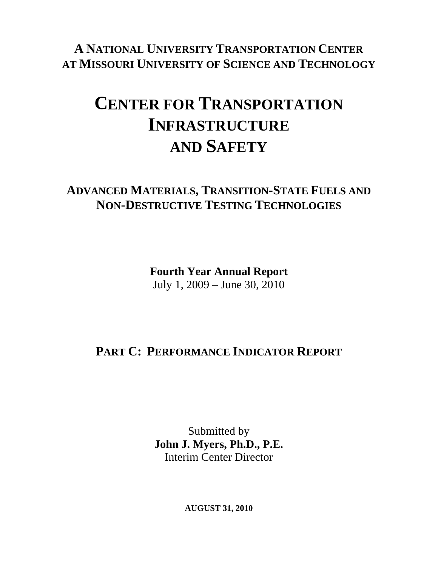**A NATIONAL UNIVERSITY TRANSPORTATION CENTER AT MISSOURI UNIVERSITY OF SCIENCE AND TECHNOLOGY**

# **CENTER FOR TRANSPORTATION INFRASTRUCTURE AND SAFETY**

### **ADVANCED MATERIALS, TRANSITION-STATE FUELS AND NON-DESTRUCTIVE TESTING TECHNOLOGIES**

**Fourth Year Annual Report**  July 1, 2009 – June 30, 2010

# **PART C: PERFORMANCE INDICATOR REPORT**

Submitted by **John J. Myers, Ph.D., P.E.**  Interim Center Director

**AUGUST 31, 2010**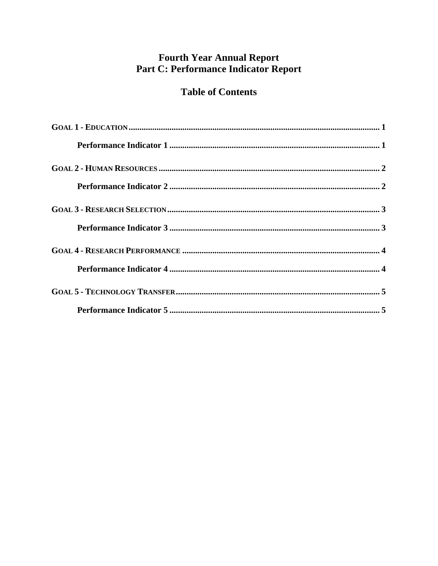### **Fourth Year Annual Report** Part C: Performance Indicator Report

### **Table of Contents**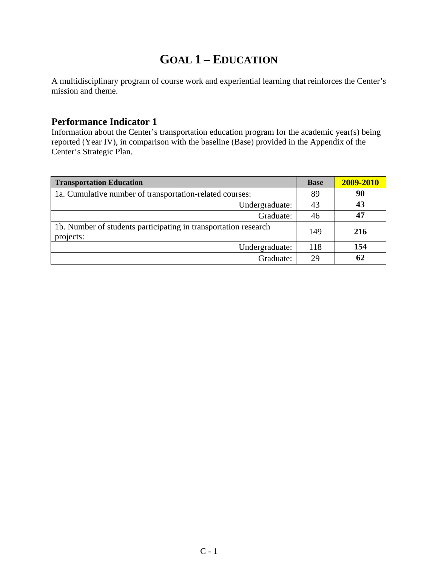## **GOAL 1 – EDUCATION**

<span id="page-2-0"></span>A multidisciplinary program of course work and experiential learning that reinforces the Center's mission and theme.

#### **Performance Indicator 1**

Information about the Center's transportation education program for the academic year(s) being reported (Year IV), in comparison with the baseline (Base) provided in the Appendix of the Center's Strategic Plan.

| <b>Transportation Education</b>                                              | <b>Base</b> | 2009-2010 |
|------------------------------------------------------------------------------|-------------|-----------|
| 1a. Cumulative number of transportation-related courses:                     | 89          | 90        |
| Undergraduate:                                                               | 43          | 43        |
| Graduate:                                                                    | 46          | 47        |
| 1b. Number of students participating in transportation research<br>projects: | 149         | 216       |
| Undergraduate:                                                               | 118         | 154       |
| Graduate:                                                                    | 29          | 62        |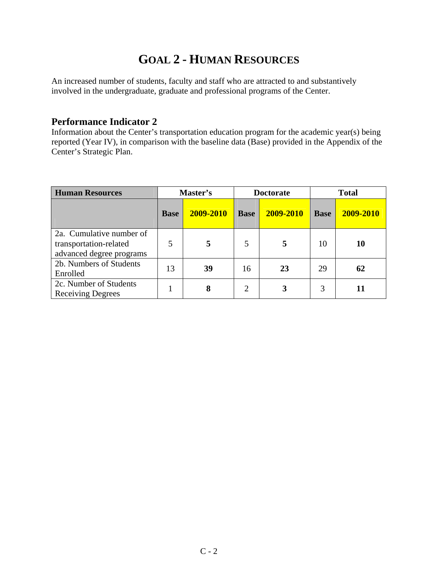# **GOAL 2 - HUMAN RESOURCES**

<span id="page-3-0"></span>An increased number of students, faculty and staff who are attracted to and substantively involved in the undergraduate, graduate and professional programs of the Center.

#### **Performance Indicator 2**

Information about the Center's transportation education program for the academic year(s) being reported (Year IV), in comparison with the baseline data (Base) provided in the Appendix of the Center's Strategic Plan.

| <b>Human Resources</b>                                                         | Master's    |           | <b>Doctorate</b> |           |             | <b>Total</b> |
|--------------------------------------------------------------------------------|-------------|-----------|------------------|-----------|-------------|--------------|
|                                                                                | <b>Base</b> | 2009-2010 | <b>Base</b>      | 2009-2010 | <b>Base</b> | 2009-2010    |
| 2a. Cumulative number of<br>transportation-related<br>advanced degree programs | 5           |           | 5                | 5         | 10          | 10           |
| 2b. Numbers of Students<br>Enrolled                                            | 13          | 39        | 16               | 23        | 29          | 62           |
| 2c. Number of Students<br><b>Receiving Degrees</b>                             |             | 8         | $\overline{2}$   |           | 3           |              |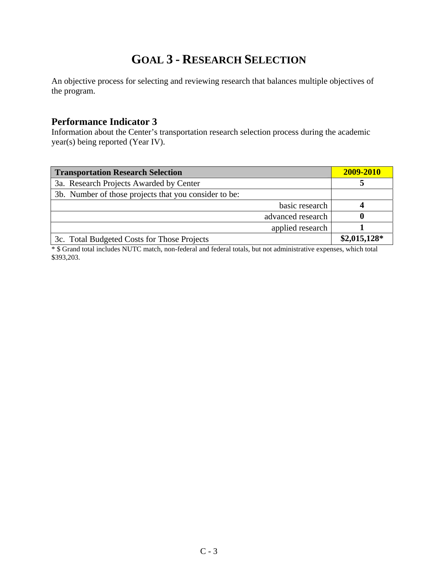# **GOAL 3 - RESEARCH SELECTION**

<span id="page-4-0"></span>An objective process for selecting and reviewing research that balances multiple objectives of the program.

#### **Performance Indicator 3**

Information about the Center's transportation research selection process during the academic year(s) being reported (Year IV).

| <b>Transportation Research Selection</b>              | 2009-2010     |
|-------------------------------------------------------|---------------|
| 3a. Research Projects Awarded by Center               |               |
| 3b. Number of those projects that you consider to be: |               |
| basic research                                        |               |
| advanced research                                     |               |
| applied research                                      |               |
| 3c. Total Budgeted Costs for Those Projects           | $$2,015,128*$ |

\* \$ Grand total includes NUTC match, non-federal and federal totals, but not administrative expenses, which total \$393,203.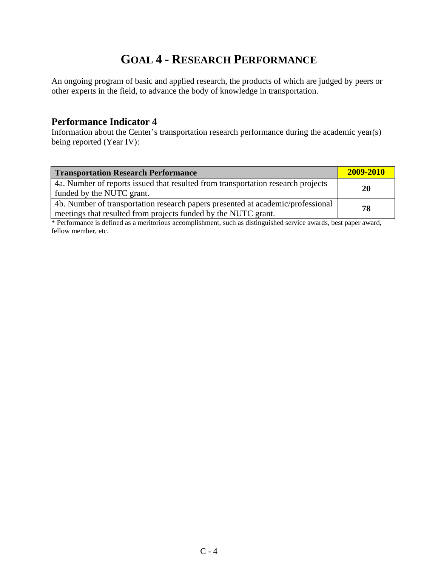## **GOAL 4 - RESEARCH PERFORMANCE**

<span id="page-5-0"></span>An ongoing program of basic and applied research, the products of which are judged by peers or other experts in the field, to advance the body of knowledge in transportation.

#### **Performance Indicator 4**

Information about the Center's transportation research performance during the academic year(s) being reported (Year IV):

| <b>Transportation Research Performance</b>                                                                                                        | 2009-2010 |
|---------------------------------------------------------------------------------------------------------------------------------------------------|-----------|
| 4a. Number of reports issued that resulted from transportation research projects<br>funded by the NUTC grant.                                     | <b>20</b> |
| 4b. Number of transportation research papers presented at academic/professional<br>meetings that resulted from projects funded by the NUTC grant. | 78        |

\* Performance is defined as a meritorious accomplishment, such as distinguished service awards, best paper award, fellow member, etc.